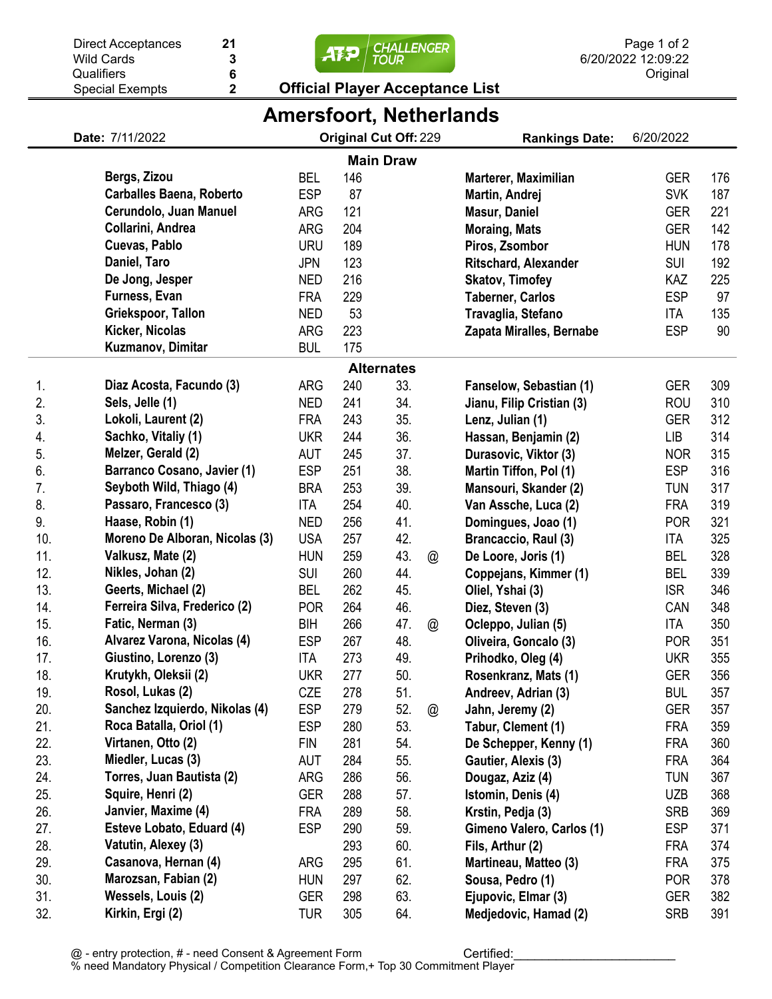|  | <b>Official Player Acceptance List</b>        |
|--|-----------------------------------------------|
|  |                                               |
|  |                                               |
|  | $\frac{1}{\sqrt{12}}$ $\frac{1}{\sqrt{100R}}$ |

|     |                                 |            |     |                       |   | <b>Amersfoort, Netherlands</b> |            |     |
|-----|---------------------------------|------------|-----|-----------------------|---|--------------------------------|------------|-----|
|     | Date: 7/11/2022                 |            |     | Original Cut Off: 229 |   | <b>Rankings Date:</b>          | 6/20/2022  |     |
|     |                                 |            |     | <b>Main Draw</b>      |   |                                |            |     |
|     | Bergs, Zizou                    | <b>BEL</b> | 146 |                       |   | Marterer, Maximilian           | <b>GER</b> | 176 |
|     | <b>Carballes Baena, Roberto</b> | <b>ESP</b> | 87  |                       |   | Martin, Andrej                 | <b>SVK</b> | 187 |
|     | Cerundolo, Juan Manuel          | <b>ARG</b> | 121 |                       |   | <b>Masur, Daniel</b>           | <b>GER</b> | 221 |
|     | Collarini, Andrea               | <b>ARG</b> | 204 |                       |   | <b>Moraing, Mats</b>           | <b>GER</b> | 142 |
|     | Cuevas, Pablo                   | <b>URU</b> | 189 |                       |   | Piros, Zsombor                 | <b>HUN</b> | 178 |
|     | Daniel, Taro                    | <b>JPN</b> | 123 |                       |   | <b>Ritschard, Alexander</b>    | <b>SUI</b> | 192 |
|     | De Jong, Jesper                 | <b>NED</b> | 216 |                       |   | <b>Skatov, Timofey</b>         | KAZ        | 225 |
|     | Furness, Evan                   | <b>FRA</b> | 229 |                       |   | <b>Taberner, Carlos</b>        | <b>ESP</b> | 97  |
|     | Griekspoor, Tallon              | <b>NED</b> | 53  |                       |   | Travaglia, Stefano             | ITA        | 135 |
|     | Kicker, Nicolas                 | <b>ARG</b> | 223 |                       |   | Zapata Miralles, Bernabe       | <b>ESP</b> | 90  |
|     | Kuzmanov, Dimitar               | <b>BUL</b> | 175 |                       |   |                                |            |     |
|     |                                 |            |     | <b>Alternates</b>     |   |                                |            |     |
| 1.  | Diaz Acosta, Facundo (3)        | <b>ARG</b> | 240 | 33.                   |   | Fanselow, Sebastian (1)        | <b>GER</b> | 309 |
| 2.  | Sels, Jelle (1)                 | <b>NED</b> | 241 | 34.                   |   | Jianu, Filip Cristian (3)      | <b>ROU</b> | 310 |
| 3.  | Lokoli, Laurent (2)             | <b>FRA</b> | 243 | 35.                   |   | Lenz, Julian (1)               | <b>GER</b> | 312 |
| 4.  | Sachko, Vitaliy (1)             | <b>UKR</b> | 244 | 36.                   |   | Hassan, Benjamin (2)           | <b>LIB</b> | 314 |
| 5.  | Melzer, Gerald (2)              | AUT        | 245 | 37.                   |   | Durasovic, Viktor (3)          | <b>NOR</b> | 315 |
| 6.  | Barranco Cosano, Javier (1)     | <b>ESP</b> | 251 | 38.                   |   | Martin Tiffon, Pol (1)         | <b>ESP</b> | 316 |
| 7.  | Seyboth Wild, Thiago (4)        | <b>BRA</b> | 253 | 39.                   |   | Mansouri, Skander (2)          | <b>TUN</b> | 317 |
| 8.  | Passaro, Francesco (3)          | <b>ITA</b> | 254 | 40.                   |   | Van Assche, Luca (2)           | <b>FRA</b> | 319 |
| 9.  | Haase, Robin (1)                | <b>NED</b> | 256 | 41.                   |   | Domingues, Joao (1)            | <b>POR</b> | 321 |
| 10. | Moreno De Alboran, Nicolas (3)  | <b>USA</b> | 257 | 42.                   |   | Brancaccio, Raul (3)           | ITA        | 325 |
| 11. | Valkusz, Mate (2)               | <b>HUN</b> | 259 | 43.                   | @ | De Loore, Joris (1)            | <b>BEL</b> | 328 |
| 12. | Nikles, Johan (2)               | <b>SUI</b> | 260 | 44.                   |   | Coppejans, Kimmer (1)          | BEL        | 339 |
| 13. | Geerts, Michael (2)             | <b>BEL</b> | 262 | 45.                   |   | Oliel, Yshai (3)               | <b>ISR</b> | 346 |
| 14. | Ferreira Silva, Frederico (2)   | <b>POR</b> | 264 | 46.                   |   | Diez, Steven (3)               | CAN        | 348 |
| 15. | Fatic, Nerman (3)               | BIH        | 266 | 47.                   | @ | Ocleppo, Julian (5)            | ITA        | 350 |
| 16. | Alvarez Varona, Nicolas (4)     | <b>ESP</b> | 267 | 48.                   |   | Oliveira, Goncalo (3)          | <b>POR</b> | 351 |
| 17. | Giustino, Lorenzo (3)           | <b>ITA</b> | 273 | 49.                   |   | Prihodko, Oleg (4)             | <b>UKR</b> | 355 |
| 18. | Krutykh, Oleksii (2)            | <b>UKR</b> | 277 | 50.                   |   | Rosenkranz, Mats (1)           | GER        | 356 |
| 19. | Rosol, Lukas (2)                | <b>CZE</b> | 278 | 51.                   |   | Andreev, Adrian (3)            | <b>BUL</b> | 357 |
| 20. | Sanchez Izquierdo, Nikolas (4)  | <b>ESP</b> | 279 | 52.                   | @ | Jahn, Jeremy (2)               | GER        | 357 |
| 21. | Roca Batalla, Oriol (1)         | <b>ESP</b> | 280 | 53.                   |   | Tabur, Clement (1)             | <b>FRA</b> | 359 |
| 22. | Virtanen, Otto (2)              | <b>FIN</b> | 281 | 54.                   |   | De Schepper, Kenny (1)         | <b>FRA</b> | 360 |
| 23. | Miedler, Lucas (3)              | AUT        | 284 | 55.                   |   | Gautier, Alexis (3)            | <b>FRA</b> | 364 |
| 24. | Torres, Juan Bautista (2)       | ARG        | 286 | 56.                   |   | Dougaz, Aziz (4)               | <b>TUN</b> | 367 |
| 25. | Squire, Henri (2)               | <b>GER</b> | 288 | 57.                   |   | Istomin, Denis (4)             | <b>UZB</b> | 368 |
| 26. | Janvier, Maxime (4)             | <b>FRA</b> | 289 | 58.                   |   | Krstin, Pedja (3)              | <b>SRB</b> | 369 |
| 27. | Esteve Lobato, Eduard (4)       | <b>ESP</b> | 290 | 59.                   |   | Gimeno Valero, Carlos (1)      | <b>ESP</b> | 371 |
| 28. | Vatutin, Alexey (3)             |            | 293 | 60.                   |   | Fils, Arthur (2)               | <b>FRA</b> | 374 |
| 29. | Casanova, Hernan (4)            | ARG        | 295 | 61.                   |   | Martineau, Matteo (3)          | <b>FRA</b> | 375 |
| 30. | Marozsan, Fabian (2)            | <b>HUN</b> | 297 | 62.                   |   | Sousa, Pedro (1)               | <b>POR</b> | 378 |
| 31. | Wessels, Louis (2)              | <b>GER</b> | 298 | 63.                   |   | Ejupovic, Elmar (3)            | <b>GER</b> | 382 |
| 32. | Kirkin, Ergi (2)                | <b>TUR</b> | 305 | 64.                   |   | Medjedovic, Hamad (2)          | <b>SRB</b> | 391 |

**21**

Wild Cards **Qualifiers** 

Special Exempts